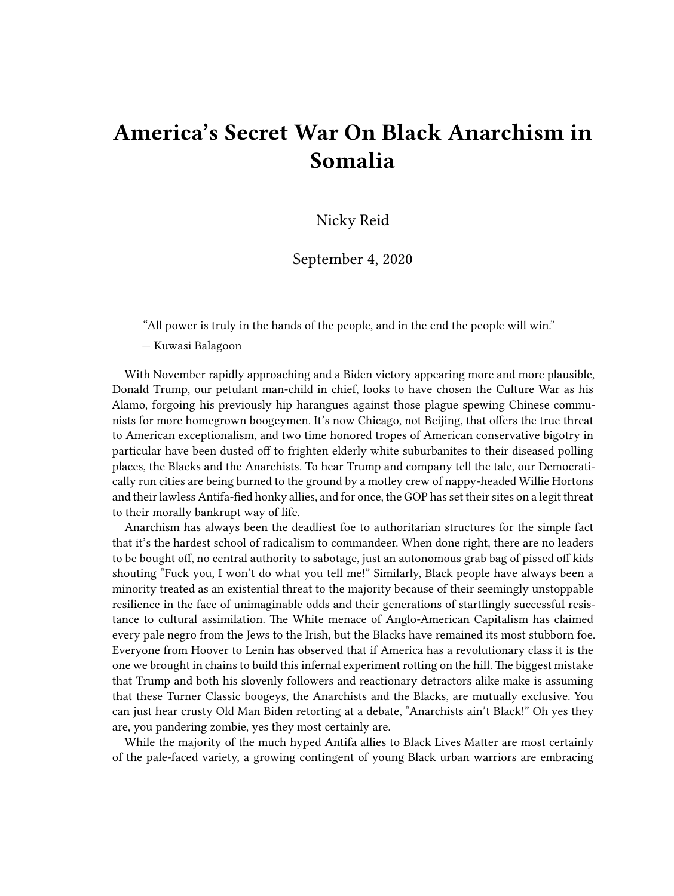## **America's Secret War On Black Anarchism in Somalia**

Nicky Reid

September 4, 2020

"All power is truly in the hands of the people, and in the end the people will win."

— Kuwasi Balagoon

With November rapidly approaching and a Biden victory appearing more and more plausible, Donald Trump, our petulant man-child in chief, looks to have chosen the Culture War as his Alamo, forgoing his previously hip harangues against those plague spewing Chinese communists for more homegrown boogeymen. It's now Chicago, not Beijing, that offers the true threat to American exceptionalism, and two time honored tropes of American conservative bigotry in particular have been dusted off to frighten elderly white suburbanites to their diseased polling places, the Blacks and the Anarchists. To hear Trump and company tell the tale, our Democratically run cities are being burned to the ground by a motley crew of nappy-headed Willie Hortons and their lawless Antifa-fied honky allies, and for once, the GOP has set their sites on a legit threat to their morally bankrupt way of life.

Anarchism has always been the deadliest foe to authoritarian structures for the simple fact that it's the hardest school of radicalism to commandeer. When done right, there are no leaders to be bought off, no central authority to sabotage, just an autonomous grab bag of pissed off kids shouting "Fuck you, I won't do what you tell me!" Similarly, Black people have always been a minority treated as an existential threat to the majority because of their seemingly unstoppable resilience in the face of unimaginable odds and their generations of startlingly successful resistance to cultural assimilation. The White menace of Anglo-American Capitalism has claimed every pale negro from the Jews to the Irish, but the Blacks have remained its most stubborn foe. Everyone from Hoover to Lenin has observed that if America has a revolutionary class it is the one we brought in chains to build this infernal experiment rotting on the hill. The biggest mistake that Trump and both his slovenly followers and reactionary detractors alike make is assuming that these Turner Classic boogeys, the Anarchists and the Blacks, are mutually exclusive. You can just hear crusty Old Man Biden retorting at a debate, "Anarchists ain't Black!" Oh yes they are, you pandering zombie, yes they most certainly are.

While the majority of the much hyped Antifa allies to Black Lives Matter are most certainly of the pale-faced variety, a growing contingent of young Black urban warriors are embracing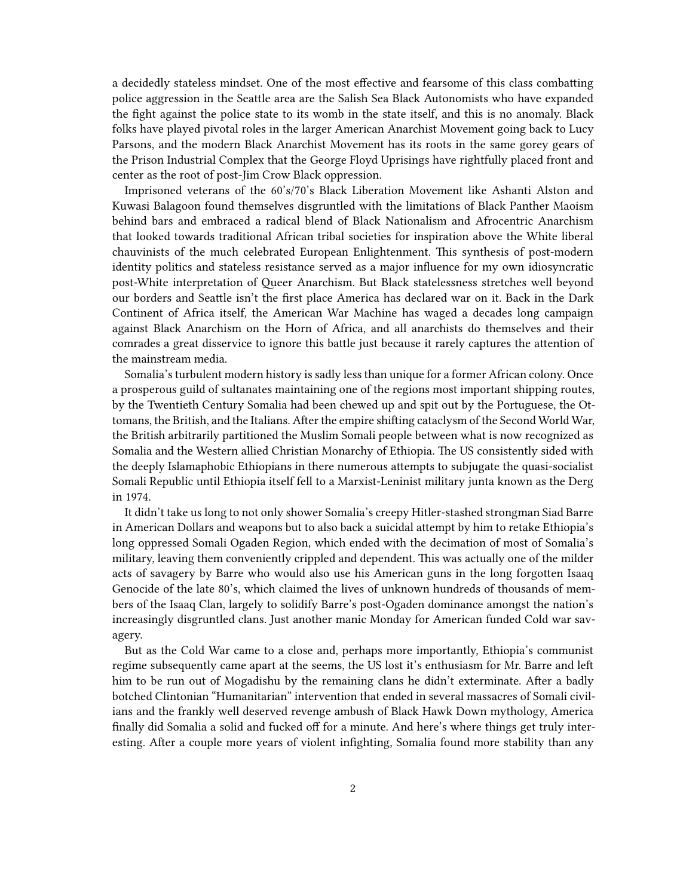a decidedly stateless mindset. One of the most effective and fearsome of this class combatting police aggression in the Seattle area are the Salish Sea Black Autonomists who have expanded the fight against the police state to its womb in the state itself, and this is no anomaly. Black folks have played pivotal roles in the larger American Anarchist Movement going back to Lucy Parsons, and the modern Black Anarchist Movement has its roots in the same gorey gears of the Prison Industrial Complex that the George Floyd Uprisings have rightfully placed front and center as the root of post-Jim Crow Black oppression.

Imprisoned veterans of the 60's/70's Black Liberation Movement like Ashanti Alston and Kuwasi Balagoon found themselves disgruntled with the limitations of Black Panther Maoism behind bars and embraced a radical blend of Black Nationalism and Afrocentric Anarchism that looked towards traditional African tribal societies for inspiration above the White liberal chauvinists of the much celebrated European Enlightenment. This synthesis of post-modern identity politics and stateless resistance served as a major influence for my own idiosyncratic post-White interpretation of Queer Anarchism. But Black statelessness stretches well beyond our borders and Seattle isn't the first place America has declared war on it. Back in the Dark Continent of Africa itself, the American War Machine has waged a decades long campaign against Black Anarchism on the Horn of Africa, and all anarchists do themselves and their comrades a great disservice to ignore this battle just because it rarely captures the attention of the mainstream media.

Somalia's turbulent modern history is sadly less than unique for a former African colony. Once a prosperous guild of sultanates maintaining one of the regions most important shipping routes, by the Twentieth Century Somalia had been chewed up and spit out by the Portuguese, the Ottomans, the British, and the Italians. After the empire shifting cataclysm of the Second World War, the British arbitrarily partitioned the Muslim Somali people between what is now recognized as Somalia and the Western allied Christian Monarchy of Ethiopia. The US consistently sided with the deeply Islamaphobic Ethiopians in there numerous attempts to subjugate the quasi-socialist Somali Republic until Ethiopia itself fell to a Marxist-Leninist military junta known as the Derg in 1974.

It didn't take us long to not only shower Somalia's creepy Hitler-stashed strongman Siad Barre in American Dollars and weapons but to also back a suicidal attempt by him to retake Ethiopia's long oppressed Somali Ogaden Region, which ended with the decimation of most of Somalia's military, leaving them conveniently crippled and dependent. This was actually one of the milder acts of savagery by Barre who would also use his American guns in the long forgotten Isaaq Genocide of the late 80's, which claimed the lives of unknown hundreds of thousands of members of the Isaaq Clan, largely to solidify Barre's post-Ogaden dominance amongst the nation's increasingly disgruntled clans. Just another manic Monday for American funded Cold war savagery.

But as the Cold War came to a close and, perhaps more importantly, Ethiopia's communist regime subsequently came apart at the seems, the US lost it's enthusiasm for Mr. Barre and left him to be run out of Mogadishu by the remaining clans he didn't exterminate. After a badly botched Clintonian "Humanitarian" intervention that ended in several massacres of Somali civilians and the frankly well deserved revenge ambush of Black Hawk Down mythology, America finally did Somalia a solid and fucked off for a minute. And here's where things get truly interesting. After a couple more years of violent infighting, Somalia found more stability than any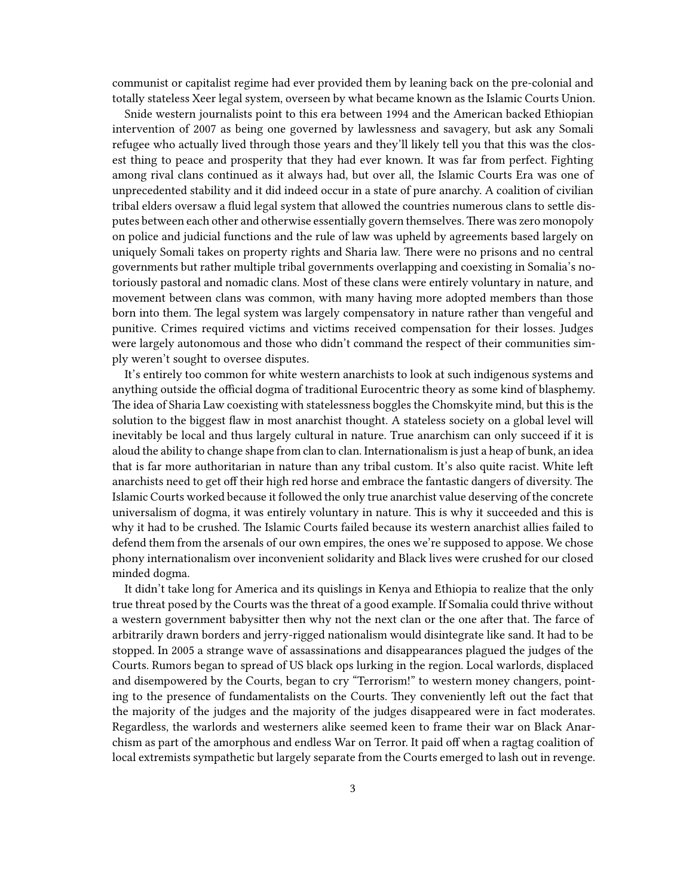communist or capitalist regime had ever provided them by leaning back on the pre-colonial and totally stateless Xeer legal system, overseen by what became known as the Islamic Courts Union.

Snide western journalists point to this era between 1994 and the American backed Ethiopian intervention of 2007 as being one governed by lawlessness and savagery, but ask any Somali refugee who actually lived through those years and they'll likely tell you that this was the closest thing to peace and prosperity that they had ever known. It was far from perfect. Fighting among rival clans continued as it always had, but over all, the Islamic Courts Era was one of unprecedented stability and it did indeed occur in a state of pure anarchy. A coalition of civilian tribal elders oversaw a fluid legal system that allowed the countries numerous clans to settle disputes between each other and otherwise essentially govern themselves.There was zero monopoly on police and judicial functions and the rule of law was upheld by agreements based largely on uniquely Somali takes on property rights and Sharia law. There were no prisons and no central governments but rather multiple tribal governments overlapping and coexisting in Somalia's notoriously pastoral and nomadic clans. Most of these clans were entirely voluntary in nature, and movement between clans was common, with many having more adopted members than those born into them. The legal system was largely compensatory in nature rather than vengeful and punitive. Crimes required victims and victims received compensation for their losses. Judges were largely autonomous and those who didn't command the respect of their communities simply weren't sought to oversee disputes.

It's entirely too common for white western anarchists to look at such indigenous systems and anything outside the official dogma of traditional Eurocentric theory as some kind of blasphemy. The idea of Sharia Law coexisting with statelessness boggles the Chomskyite mind, but this is the solution to the biggest flaw in most anarchist thought. A stateless society on a global level will inevitably be local and thus largely cultural in nature. True anarchism can only succeed if it is aloud the ability to change shape from clan to clan. Internationalism is just a heap of bunk, an idea that is far more authoritarian in nature than any tribal custom. It's also quite racist. White left anarchists need to get off their high red horse and embrace the fantastic dangers of diversity. The Islamic Courts worked because it followed the only true anarchist value deserving of the concrete universalism of dogma, it was entirely voluntary in nature. This is why it succeeded and this is why it had to be crushed. The Islamic Courts failed because its western anarchist allies failed to defend them from the arsenals of our own empires, the ones we're supposed to appose. We chose phony internationalism over inconvenient solidarity and Black lives were crushed for our closed minded dogma.

It didn't take long for America and its quislings in Kenya and Ethiopia to realize that the only true threat posed by the Courts was the threat of a good example. If Somalia could thrive without a western government babysitter then why not the next clan or the one after that. The farce of arbitrarily drawn borders and jerry-rigged nationalism would disintegrate like sand. It had to be stopped. In 2005 a strange wave of assassinations and disappearances plagued the judges of the Courts. Rumors began to spread of US black ops lurking in the region. Local warlords, displaced and disempowered by the Courts, began to cry "Terrorism!" to western money changers, pointing to the presence of fundamentalists on the Courts. They conveniently left out the fact that the majority of the judges and the majority of the judges disappeared were in fact moderates. Regardless, the warlords and westerners alike seemed keen to frame their war on Black Anarchism as part of the amorphous and endless War on Terror. It paid off when a ragtag coalition of local extremists sympathetic but largely separate from the Courts emerged to lash out in revenge.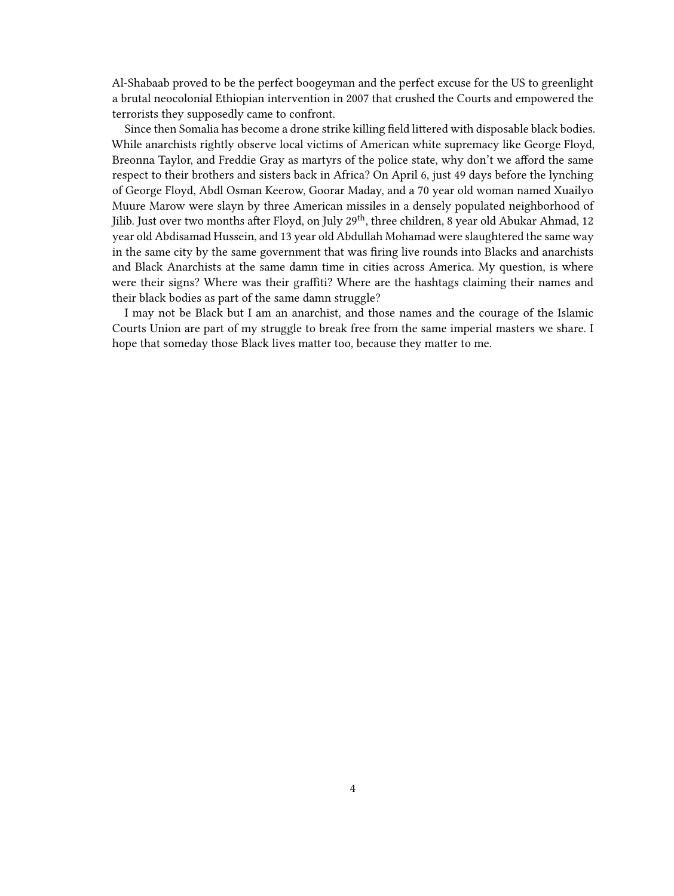Al-Shabaab proved to be the perfect boogeyman and the perfect excuse for the US to greenlight a brutal neocolonial Ethiopian intervention in 2007 that crushed the Courts and empowered the terrorists they supposedly came to confront.

Since then Somalia has become a drone strike killing field littered with disposable black bodies. While anarchists rightly observe local victims of American white supremacy like George Floyd, Breonna Taylor, and Freddie Gray as martyrs of the police state, why don't we afford the same respect to their brothers and sisters back in Africa? On April 6, just 49 days before the lynching of George Floyd, Abdl Osman Keerow, Goorar Maday, and a 70 year old woman named Xuailyo Muure Marow were slayn by three American missiles in a densely populated neighborhood of Jilib. Just over two months after Floyd, on July 29<sup>th</sup>, three children, 8 year old Abukar Ahmad, 12 year old Abdisamad Hussein, and 13 year old Abdullah Mohamad were slaughtered the same way in the same city by the same government that was firing live rounds into Blacks and anarchists and Black Anarchists at the same damn time in cities across America. My question, is where were their signs? Where was their graffiti? Where are the hashtags claiming their names and their black bodies as part of the same damn struggle?

I may not be Black but I am an anarchist, and those names and the courage of the Islamic Courts Union are part of my struggle to break free from the same imperial masters we share. I hope that someday those Black lives matter too, because they matter to me.